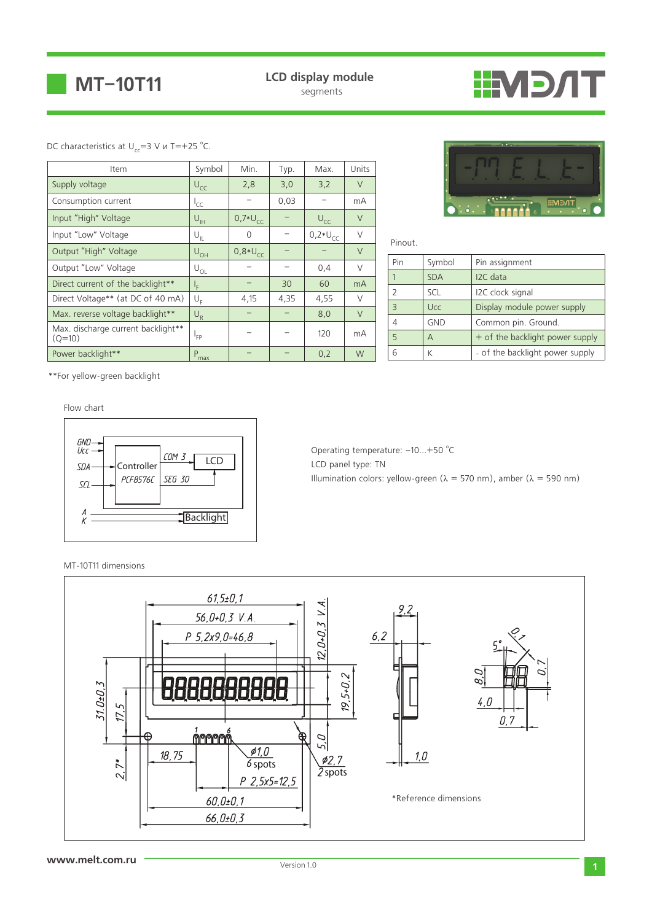

**LCD display module**

# **TNGMII**

#### DC characteristics at  $U_{cc} = 3$  V и T = +25 °C.

| Item                                           | Symbol           | Min.         | Typ. | Max.         | Units          |
|------------------------------------------------|------------------|--------------|------|--------------|----------------|
| Supply voltage                                 | $U_{CC}$         | 2,8          | 3,0  | 3,2          | $\vee$         |
| Consumption current                            | ŀсс              |              | 0,03 |              | mA             |
| Input "High" Voltage                           | $U_{\text{H}}$   | $0.7*U_{CC}$ |      | $U_{CC}$     | $\vee$         |
| Input "Low" Voltage                            | $U_{ L}$         | $\Omega$     |      | $0,2*U_{CC}$ | $\vee$         |
| Output "High" Voltage                          | $U_{OH}$         | $0,8*U_{CC}$ |      |              | $\vee$         |
| Output "Low" Voltage                           | $U_{OL}$         |              |      | 0,4          | $\vee$         |
| Direct current of the backlight**              | ı,               |              | 30   | 60           | m <sub>A</sub> |
| Direct Voltage** (at DC of 40 mA)              | $U_{\rm r}$      | 4,15         | 4,35 | 4,55         | $\vee$         |
| Max. reverse voltage backlight**               | $U_R$            |              |      | 8,0          | $\vee$         |
| Max. discharge current backlight**<br>$(Q=10)$ | l <sub>FP</sub>  |              |      | 120          | mA             |
| Power backlight**                              | $P_{\text{max}}$ |              |      | 0,2          | W              |



Pinout.

| Pin | Symbol     | Pin assignment                  |
|-----|------------|---------------------------------|
|     | <b>SDA</b> | I2C data                        |
|     | SCL        | I2C clock signal                |
|     | <b>Ucc</b> | Display module power supply     |
|     | <b>GND</b> | Common pin. Ground.             |
| 5   | А          | + of the backlight power supply |
|     |            | - of the backlight power supply |

\*\*For yellow-green backlight

Flow chart



Operating temperature:  $-10...+50$  °C LCD panel type: TN Illumination colors: yellow-green ( $\lambda = 570$  nm), amber ( $\lambda = 590$  nm)

#### MT-10T11 dimensions

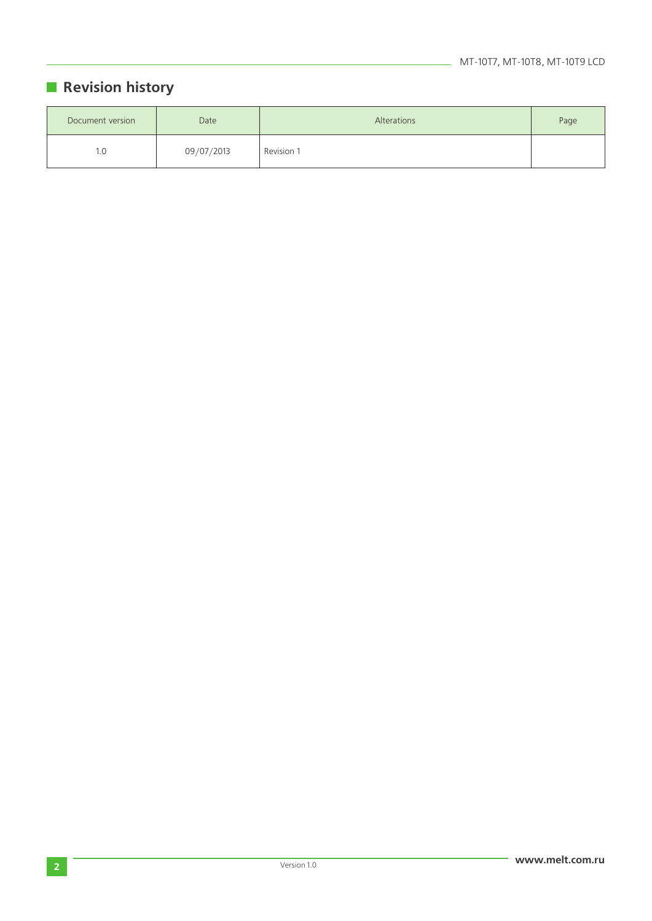### **Revision history**

| Document version | Date       | Alterations | Page |
|------------------|------------|-------------|------|
| I.O              | 09/07/2013 | Revision 1  |      |